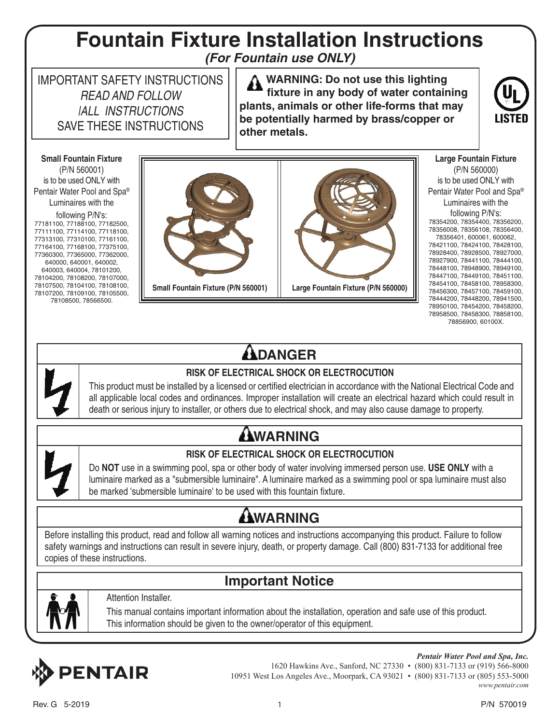### **Fountain Fixture Installation Instructions** *(For Fountain use ONLY)*

IMPORTANT SAFETY INSTRUCTIONS READ AND FOLLOW |ALL INSTRUCTIONS SAVE THESE INSTRUCTIONS

 **WARNING: Do not use this lighting fixture in any body of water containing plants, animals or other life-forms that may be potentially harmed by brass/copper or other metals.**



**Small Fountain Fixture** (P/N 560001) is to be used ONLY with Pentair Water Pool and Spa® Luminaires with the

following P/N's: 77181100, 77188100, 77182500, 77111100, 77114100, 77118100, 77313100, 77310100, 77161100, 77164100, 77168100, 77375100, 77360300, 77365000, 77362000, 640000, 640001, 640002, 640003, 640004, 78101200, 78104200, 78108200, 78107000, 78107500, 78104100, 78108100, 78107200, 78109100, 78105500, 78108500, 78566500.





**Large Fountain Fixture** (P/N 560000) is to be used ONLY with Pentair Water Pool and Spa® Luminaires with the following P/N's: 78354200, 78354400, 78356200, 78356008, 78356108, 78356400, 78356401, 600061, 600062, 78421100, 78424100, 78428100, 78928400, 78928500, 78927000, 78927900, 78441100, 78444100, 78448100, 78948900, 78949100, 78447100, 78449100, 78451100, 78454100, 78458100, 78958300, 78456300, 78457100, 78459100, 78444200, 78448200, 78941500, 78950100, 78454200, 78458200, 78958500, 78458300, 78858100, 78856900, 60100X.

### **ADANGER**



#### **RISK OF ELECTRICAL SHOCK OR ELECTROCUTION**

This product must be installed by a licensed or certified electrician in accordance with the National Electrical Code and all applicable local codes and ordinances. Improper installation will create an electrical hazard which could result in death or serious injury to installer, or others due to electrical shock, and may also cause damage to property.

## **AWARNING**



#### **RISK OF ELECTRICAL SHOCK OR ELECTROCUTION**

Do **NOT** use in a swimming pool, spa or other body of water involving immersed person use. **USE ONLY** with a luminaire marked as a "submersible luminaire". A luminaire marked as a swimming pool or spa luminaire must also be marked 'submersible luminaire' to be used with this fountain fixture.

### **AWARNING**

Before installing this product, read and follow all warning notices and instructions accompanying this product. Failure to follow safety warnings and instructions can result in severe injury, death, or property damage. Call (800) 831-7133 for additional free copies of these instructions.

### **Important Notice**



#### Attention Installer.

This manual contains important information about the installation, operation and safe use of this product. This information should be given to the owner/operator of this equipment.



*Pentair Water Pool and Spa, Inc.* 1620 Hawkins Ave., Sanford, NC 27330 • (800) 831-7133 or (919) 566-8000 10951 West Los Angeles Ave., Moorpark, CA 93021 • (800) 831-7133 or (805) 553-5000 *www.pentair.com*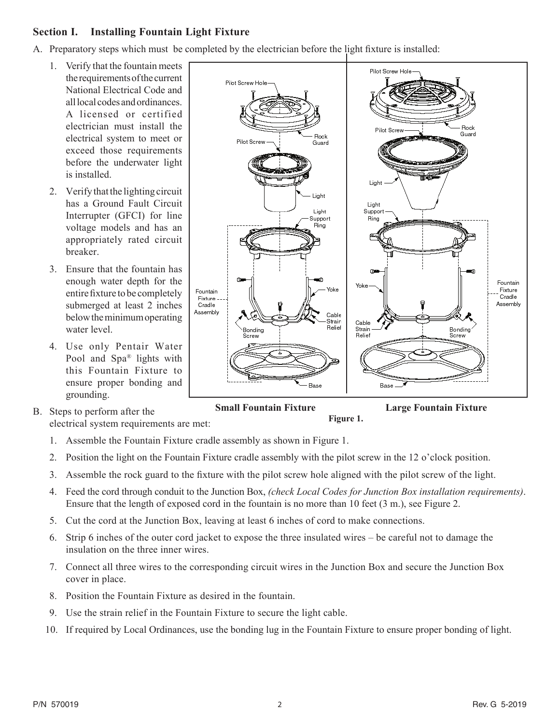### **Section I. Installing Fountain Light Fixture**

- A. Preparatory steps which must be completed by the electrician before the light fixture is installed:
	- 1. Verify that the fountain meets the requirements of the current National Electrical Code and all local codes and ordinances. A licensed or certified electrician must install the electrical system to meet or exceed those requirements before the underwater light is installed.
	- 2. Verify that the lighting circuit has a Ground Fault Circuit Interrupter (GFCI) for line voltage models and has an appropriately rated circuit breaker.
	- 3. Ensure that the fountain has enough water depth for the entirefixture to be completely submerged at least 2 inches below the minimum operating water level.
	- 4. Use only Pentair Water Pool and Spa® lights with this Fountain Fixture to ensure proper bonding and grounding.
- B. Steps to perform after the electrical system requirements are met:



**Figure 1.**

- 1. Assemble the Fountain Fixture cradle assembly as shown in Figure 1.
- 2. Position the light on the Fountain Fixture cradle assembly with the pilot screw in the 12 o'clock position.
- 3. Assemble the rock guard to the fixture with the pilot screw hole aligned with the pilot screw of the light.
- 4. Feed the cord through conduit to the Junction Box, *(check Local Codes for Junction Box installation requirements)*. Ensure that the length of exposed cord in the fountain is no more than 10 feet (3 m.), see Figure 2.
- 5. Cut the cord at the Junction Box, leaving at least 6 inches of cord to make connections.
- 6. Strip 6 inches of the outer cord jacket to expose the three insulated wires be careful not to damage the insulation on the three inner wires.
- 7. Connect all three wires to the corresponding circuit wires in the Junction Box and secure the Junction Box cover in place.
- 8. Position the Fountain Fixture as desired in the fountain.
- 9. Use the strain relief in the Fountain Fixture to secure the light cable.
- 10. If required by Local Ordinances, use the bonding lug in the Fountain Fixture to ensure proper bonding of light.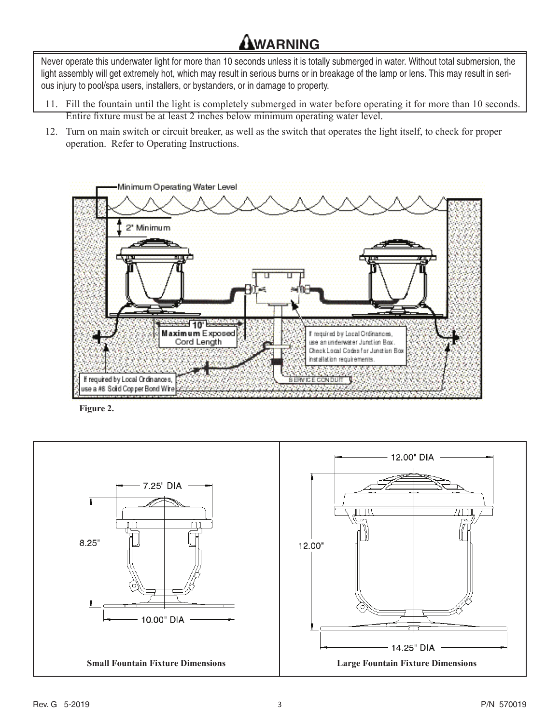# **WARNING**

Never operate this underwater light for more than 10 seconds unless it is totally submerged in water. Without total submersion, the light assembly will get extremely hot, which may result in serious burns or in breakage of the lamp or lens. This may result in serious injury to pool/spa users, installers, or bystanders, or in damage to property.

- 11. Fill the fountain until the light is completely submerged in water before operating it for more than 10 seconds. Entire fixture must be at least 2 inches below minimum operating water level.
- 12. Turn on main switch or circuit breaker, as well as the switch that operates the light itself, to check for proper operation. Refer to Operating Instructions.



**Figure 2.**